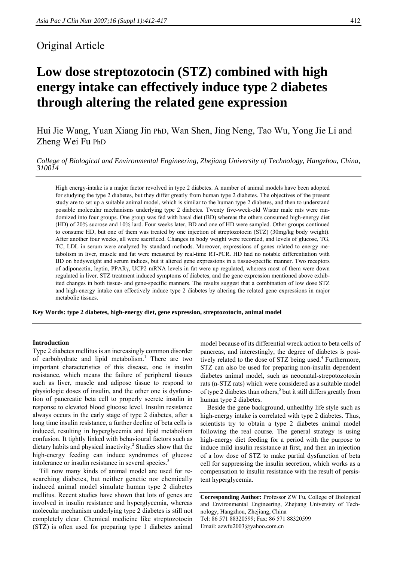# Original Article

# **Low dose streptozotocin (STZ) combined with high energy intake can effectively induce type 2 diabetes through altering the related gene expression**

Hui Jie Wang, Yuan Xiang Jin PhD, Wan Shen, Jing Neng, Tao Wu, Yong Jie Li and Zheng Wei Fu PhD

*College of Biological and Environmental Engineering, Zhejiang University of Technology, Hangzhou, China, <sup>310014</sup>*

High energy-intake is a major factor revolved in type 2 diabetes. A number of animal models have been adopted for studying the type 2 diabetes, but they differ greatly from human type 2 diabetes. The objectives of the present study are to set up a suitable animal model, which is similar to the human type 2 diabetes, and then to understand possible molecular mechanisms underlying type 2 diabetes. Twenty five-week-old Wistar male rats were randomized into four groups. One group was fed with basal diet (BD) whereas the others consumed high-energy diet (HD) of 20% sucrose and 10% lard. Four weeks later, BD and one of HD were sampled. Other groups continued to consume HD, but one of them was treated by one injection of streptozotocin (STZ) (30mg/kg body weight). After another four weeks, all were sacrificed. Changes in body weight were recorded, and levels of glucose, TG, TC, LDL in serum were analyzed by standard methods. Moreover, expressions of genes related to energy metabolism in liver, muscle and fat were measured by real-time RT-PCR. HD had no notable differentiation with BD on bodyweight and serum indices, but it altered gene expressions in a tissue-specific manner. Two receptors of adiponectin, leptin, PPARγ, UCP2 mRNA levels in fat were up regulated, whereas most of them were down regulated in liver. STZ treatment induced symptoms of diabetes, and the gene expression mentioned above exhibited changes in both tissue- and gene-specific manners. The results suggest that a combination of low dose STZ and high-energy intake can effectively induce type 2 diabetes by altering the related gene expressions in major metabolic tissues.

**Key Words: type 2 diabetes, high-energy diet, gene expression, streptozotocin, animal model** 

#### **Introduction**

Type 2 diabetes mellitus is an increasingly common disorder of carbohydrate and lipid metabolism.<sup>1</sup> There are two important characteristics of this disease, one is insulin resistance, which means the failure of peripheral tissues such as liver, muscle and adipose tissue to respond to physiologic doses of insulin, and the other one is dysfunction of pancreatic beta cell to properly secrete insulin in response to elevated blood glucose level. Insulin resistance always occurs in the early stage of type 2 diabetes, after a long time insulin resistance, a further decline of beta cells is induced, resulting in hyperglycemia and lipid metabolism confusion. It tightly linked with behavioural factors such as dietary habits and physical inactivity.<sup>2</sup> Studies show that the high-energy feeding can induce syndromes of glucose intolerance or insulin resistance in several species.<sup>3</sup>

Till now many kinds of animal model are used for researching diabetes, but neither genetic nor chemically induced animal model simulate human type 2 diabetes mellitus. Recent studies have shown that lots of genes are involved in insulin resistance and hyperglycemia, whereas molecular mechanism underlying type 2 diabetes is still not completely clear. Chemical medicine like streptozotocin (STZ) is often used for preparing type 1 diabetes animal

model because of its differential wreck action to beta cells of pancreas, and interestingly, the degree of diabetes is positively related to the dose of STZ being used.<sup>4</sup> Furthermore, STZ can also be used for preparing non-insulin dependent diabetes animal model, such as neoonatal-strepotozotoxin rats (n-STZ rats) which were considered as a suitable model of type 2 diabetes than others,<sup>5</sup> but it still differs greatly from human type 2 diabetes.

Beside the gene background, unhealthy life style such as high-energy intake is correlated with type 2 diabetes. Thus, scientists try to obtain a type 2 diabetes animal model following the real course. The general strategy is using high-energy diet feeding for a period with the purpose to induce mild insulin resistance at first, and then an injection of a low dose of STZ to make partial dysfunction of beta cell for suppressing the insulin secretion, which works as a compensation to insulin resistance with the result of persistent hyperglycemia.

**Corresponding Author:** Professor ZW Fu, College of Biological and Environmental Engineering, Zhejiang University of Technology, Hangzhou, Zhejiang, China Tel: 86 571 88320599; Fax: 86 571 88320599 Email: azwfu2003@yahoo.com.cn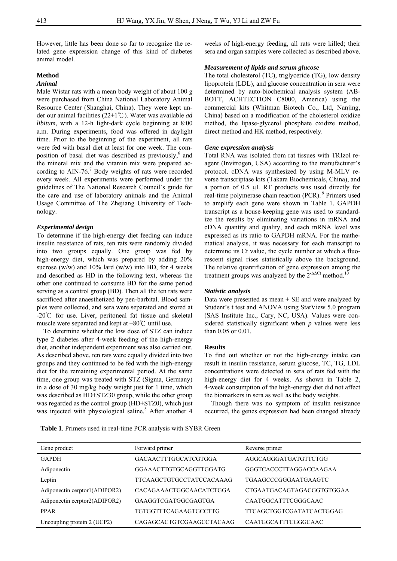However, little has been done so far to recognize the related gene expression change of this kind of diabetes animal model.

## **Method**

### *Animal*

Male Wistar rats with a mean body weight of about 100 g were purchased from China National Laboratory Animal Resource Center (Shanghai, China). They were kept under our animal facilities (22±1℃). Water was available *ad libitum*, with a 12-h light-dark cycle beginning at 8:00 a.m. During experiments, food was offered in daylight time. Prior to the beginning of the experiment, all rats were fed with basal diet at least for one week. The composition of basal diet was described as previously,<sup>6</sup> and the mineral mix and the vitamin mix were prepared according to  $\text{AIN-76}$ .<sup>7</sup> Body weights of rats were recorded every week. All experiments were performed under the guidelines of The National Research Council's guide for the care and use of laboratory animals and the Animal Usage Committee of The Zhejiang University of Technology.

#### *Experimental design*

To determine if the high-energy diet feeding can induce insulin resistance of rats, ten rats were randomly divided into two groups equally. One group was fed by high-energy diet, which was prepared by adding 20% sucrose (w/w) and  $10\%$  lard (w/w) into BD, for 4 weeks and described as HD in the following text, whereas the other one continued to consume BD for the same period serving as a control group (BD). Then all the ten rats were sacrificed after anaesthetized by pen-barbital. Blood samples were collected, and sera were separated and stored at  $-20^{\circ}$  for use. Liver, peritoneal fat tissue and skeletal muscle were separated and kept at  $-80^{\circ}$ C until use.

To determine whether the low dose of STZ can induce type 2 diabetes after 4-week feeding of the high-energy diet, another independent experiment was also carried out. As described above, ten rats were equally divided into two groups and they continued to be fed with the high-energy diet for the remaining experimental period. At the same time, one group was treated with STZ (Sigma, Germany) in a dose of 30 mg/kg body weight just for 1 time, which was described as HD+STZ30 group, while the other group was regarded as the control group (HD+STZ0), which just was injected with physiological saline.<sup>8</sup> After another 4 weeks of high-energy feeding, all rats were killed; their sera and organ samples were collected as described above.

#### *Measurement of lipids and serum glucose*

The total cholesterol (TC), triglyceride (TG), low density lipoprotein (LDL), and glucose concentration in sera were determined by auto-biochemical analysis system (AB-BOTT, ACHTECTION C8000, America) using the commercial kits (Whitman Biotech Co., Ltd, Nanjing, China) based on a modification of the cholesterol oxidize method, the lipase-glycerol phosphate oxidize method, direct method and HK method, respectively.

#### *Gene expression analysis*

Total RNA was isolated from rat tissues with TRIzol reagent (Invitrogen, USA) according to the manufacturer's protocol. cDNA was synthesized by using M-MLV reverse transcriptase kits (Takara Biochemicals, China), and a portion of 0.5 µL RT products was used directly for real-time polymerase chain reaction (PCR). 9 Primers used to amplify each gene were shown in Table 1. GAPDH transcript as a house-keeping gene was used to standardize the results by eliminating variations in mRNA and cDNA quantity and quality, and each mRNA level was expressed as its ratio to GAPDH mRNA. For the mathematical analysis, it was necessary for each transcript to determine its Ct value, the cycle number at which a fluorescent signal rises statistically above the background. The relative quantification of gene expression among the treatment groups was analyzed by the  $2^{-\Delta\Delta Ct}$  method.<sup>10</sup>

#### *Statistic analysis*

Data were presented as mean  $\pm$  SE and were analyzed by Student's t test and ANOVA using StatView 5.0 program (SAS Institute Inc., Cary, NC, USA). Values were considered statistically significant when *p* values were less than 0.05 or 0.01.

#### **Results**

To find out whether or not the high-energy intake can result in insulin resistance, serum glucose, TC, TG, LDL concentrations were detected in sera of rats fed with the high-energy diet for 4 weeks. As shown in Table 2, 4-week consumption of the high-energy diet did not affect the biomarkers in sera as well as the body weights.

Though there was no symptom of insulin resistance occurred, the genes expression had been changed already

**Table 1**. Primers used in real-time PCR analysis with SYBR Green

| Gene product                  | Forward primer              | Reverse primer            |
|-------------------------------|-----------------------------|---------------------------|
| <b>GAPDH</b>                  | <b>GACAACTTTGGCATCGTGGA</b> | AGGCAGGGATGATGTTCTGG      |
| Adiponectin                   | GGAAACTTGTGCAGGTTGGATG      | GGGTCACCCTTAGGACCAAGAA    |
| Leptin                        | TTCAAGCTGTGCCTATCCACAAAG    | TGAAGCCCGGGAATGAAGTC      |
| Adiponectin cerptor1(ADIPOR2) | CACAGAAACTGGCAACATCTGGA     | CTGAATGACAGTAGACGGTGTGGAA |
| Adiponectin cerptor2(ADIPOR2) | GAAGGTCGATGGCGAGTGA         | CAATGGCATTTCGGGCAAC       |
| <b>PPAR</b>                   | TGTGGTTTCAGAAGTGCCTTG       | TTCAGCTGGTCGATATCACTGGAG  |
| Uncoupling protein 2 (UCP2)   | CAGAGCACTGTCGAAGCCTACAAG    | CAATGGCATTTCGGGCAAC       |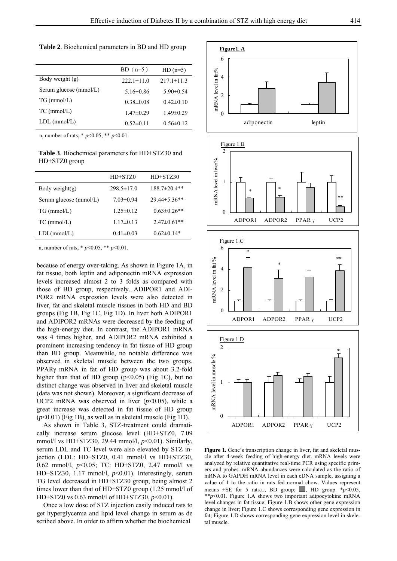**Table 2**. Biochemical parameters in BD and HD group

|                        | $BD(n=5)$        | $HD(n=5)$        |
|------------------------|------------------|------------------|
| Body weight (g)        | $222.1 \pm 11.0$ | $217.1 \pm 11.3$ |
| Serum glucose (mmol/L) | $5.16\pm0.86$    | $5.90\pm0.54$    |
| $TG$ (mmol/L)          | $0.38 \pm 0.08$  | $0.42\pm 0.10$   |
| $TC$ (mmol/L)          | $1.47\pm0.29$    | $1.49 \pm 0.29$  |
| $LDL$ (mmol/L)         | $0.52 \pm 0.11$  | $0.56 \pm 0.12$  |

n, number of rats; \* *p*<0.05, \*\* *p*<0.01.

**Table 3**. Biochemical parameters for HD+STZ30 and HD+STZ0 group

|                        | HD+STZ0          | $HD+STZ30$         |
|------------------------|------------------|--------------------|
| Body weight $(g)$      | $298.5 \pm 17.0$ | $188.7\pm20.4**$   |
| Serum glucose (mmol/L) | $7.03 \pm 0.94$  | 29.44±5.36**       |
| $TG$ (mmol/L)          | $1.25 \pm 0.12$  | $0.63 \pm 0.26$ ** |
| $TC$ (mmol/L)          | $1.17\pm0.13$    | $2.47 \pm 0.61$ ** |
| LDL(mmol/L)            | $0.41 \pm 0.03$  | $0.62\pm0.14*$     |
|                        |                  |                    |

n, number of rats, \* *p*<0.05, \*\* *p*<0.01.

because of energy over-taking. As shown in Figure 1A, in fat tissue, both leptin and adiponectin mRNA expression levels increased almost 2 to 3 folds as compared with those of BD group, respectively. ADIPOR1 and ADI-POR2 mRNA expression levels were also detected in liver, fat and skeletal muscle tissues in both HD and BD groups (Fig 1B, Fig 1C, Fig 1D). In liver both ADIPOR1 and ADIPOR2 mRNAs were decreased by the feeding of the high-energy diet. In contrast, the ADIPOR1 mRNA was 4 times higher, and ADIPOR2 mRNA exhibited a prominent increasing tendency in fat tissue of HD group than BD group. Meanwhile, no notable difference was observed in skeletal muscle between the two groups. PPARγ mRNA in fat of HD group was about 3.2-fold higher than that of BD group  $(p<0.05)$  (Fig 1C), but no distinct change was observed in liver and skeletal muscle (data was not shown). Moreover, a significant decrease of UCP2 mRNA was observed in liver  $(p<0.05)$ , while a great increase was detected in fat tissue of HD group (*p*<0.01) (Fig 1B), as well as in skeletal muscle (Fig 1D).

As shown in Table 3, STZ-treatment could dramatically increase serum glucose level (HD+STZ0, 7.09 mmol/l vs HD+STZ30, 29.44 mmol/l, *p*<0.01). Similarly, serum LDL and TC level were also elevated by STZ injection (LDL: HD+STZ0, 0.41 mmol/l vs HD+STZ30, 0.62 mmol/l, *p*<0.05; TC: HD+STZ0, 2.47 mmol/l vs HD+STZ30, 1.17 mmol/l, *p*<0.01). Interestingly, serum TG level decreased in HD+STZ30 group, being almost 2 times lower than that of HD+STZ0 group (1.25 mmol/l of HD+STZ0 vs 0.63 mmol/l of HD+STZ30, *p*<0.01).

Once a low dose of STZ injection easily induced rats to get hyperglycemia and lipid level change in serum as de scribed above. In order to affirm whether the biochemical



Figure 1. Gene's transcription change in liver, fat and skeletal muscle after 4-week feeding of high-energy diet. mRNA levels were analyzed by relative quantitative real-time PCR using specific primers and probes. mRNA abundances were calculated as the ratio of mRNA to GAPDH mRNA level in each cDNA sample, assigning a value of 1 to the ratio in rats fed normal chow. Values represent means  $\pm$ SE for 5 rats. $\Box$ , BD group;  $\Box$ , HD group.  $*_{p}$  < 0.05, \*\**p*<0.01. Figure 1.A shows two important adipocytokine mRNA level changes in fat tissue; Figure 1.B shows other gene expression change in liver; Figure 1.C shows corresponding gene expression in fat; Figure 1.D shows corresponding gene expression level in skeletal muscle.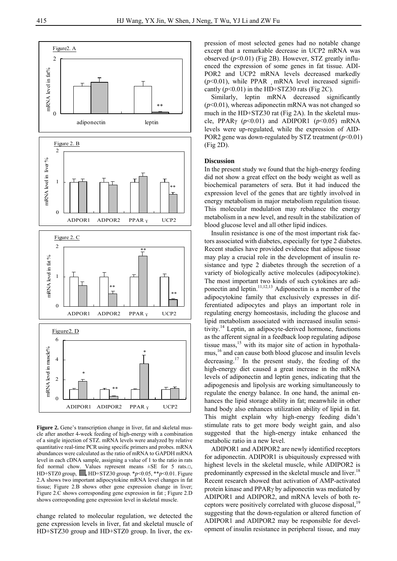

**Figure 2.** Gene's transcription change in liver, fat and skeletal muscle after another 4-week feeding of high-energy with a combination of a single injection of STZ. mRNA levels were analyzed by relative quantitative real-time PCR using specific primers and probes. mRNA abundances were calculated as the ratio of mRNA to GAPDH mRNA level in each cDNA sample, assigning a value of 1 to the ratio in rats fed normal chow. Values represent means ±SE for 5 rats.□, HD+STZ0 group, **,** HD+STZ30 group. \**p*<0.05, \*\**p*<0.01. Figure 2.A shows two important adipocytokine mRNA level changes in fat tissue; Figure 2.B shows other gene expression change in liver; Figure 2.C shows corresponding gene expression in fat ; Figure 2.D shows corresponding gene expression level in skeletal muscle.

change related to molecular regulation, we detected the gene expression levels in liver, fat and skeletal muscle of HD+STZ30 group and HD+STZ0 group. In liver, the expression of most selected genes had no notable change except that a remarkable decrease in UCP2 mRNA was observed (*p*<0.01) (Fig 2B). However, STZ greatly influenced the expression of some genes in fat tissue. ADI-POR2 and UCP2 mRNA levels decreased markedly  $(p<0.01)$ , while PPAR mRNA level increased significantly  $(p<0.01)$  in the HD+STZ30 rats (Fig 2C).

Similarly, leptin mRNA decreased significantly (*p*<0.01), whereas adiponectin mRNA was not changed so much in the HD+STZ30 rat (Fig 2A). In the skeletal muscle, PPAR $\gamma$  ( $p \le 0.01$ ) and ADIPOR1 ( $p \le 0.05$ ) mRNA levels were up-regulated, while the expression of AID-POR2 gene was down-regulated by STZ treatment (*p*<0.01) (Fig 2D).

#### **Discussion**

In the present study we found that the high-energy feeding did not show a great effect on the body weight as well as biochemical parameters of sera. But it had induced the expression level of the genes that are tightly involved in energy metabolism in major metabolism regulation tissue. This molecular modulation may rebalance the energy metabolism in a new level, and result in the stabilization of blood glucose level and all other lipid indices.

Insulin resistance is one of the most important risk factors associated with diabetes, especially for type 2 diabetes. Recent studies have provided evidence that adipose tissue may play a crucial role in the development of insulin resistance and type 2 diabetes through the secretion of a variety of biologically active molecules (adipocytokine). The most important two kinds of such cytokines are adiponectin and leptin.11,12,13 Adiponectin is a member of the adipocytokine family that exclusively expresses in differentiated adipocytes and plays an important role in regulating energy homeostasis, including the glucose and lipid metabolism associated with increased insulin sensitivity.14 Leptin, an adipocyte-derived hormone, functions as the afferent signal in a feedback loop regulating adipose tissue mass,<sup>15</sup> with its major site of action in hypothalamus,16 and can cause both blood glucose and insulin levels decreasing.17 In the present study, the feeding of the high-energy diet caused a great increase in the mRNA levels of adiponectin and leptin genes, indicating that the adipogenesis and lipolysis are working simultaneously to regulate the energy balance. In one hand, the animal enhances the lipid storage ability in fat; meanwhile in other hand body also enhances utilization ability of lipid in fat. This might explain why high-energy feeding didn't stimulate rats to get more body weight gain, and also suggested that the high-energy intake enhanced the metabolic ratio in a new level.

ADIPOR1 and ADIPOR2 are newly identified receptors for adiponectin. ADIPOR1 is ubiquitously expressed with highest levels in the skeletal muscle, while ADIPOR2 is predominantly expressed in the skeletal muscle and liver.<sup>18</sup> Recent research showed that activation of AMP-activated protein kinase and PPARγ by adiponectin was mediated by ADIPOR1 and ADIPOR2, and mRNA levels of both receptors were positively correlated with glucose disposal,<sup>19</sup> suggesting that the down-regulation or altered function of ADIPOR1 and ADIPOR2 may be responsible for development of insulin resistance in peripheral tissue, and may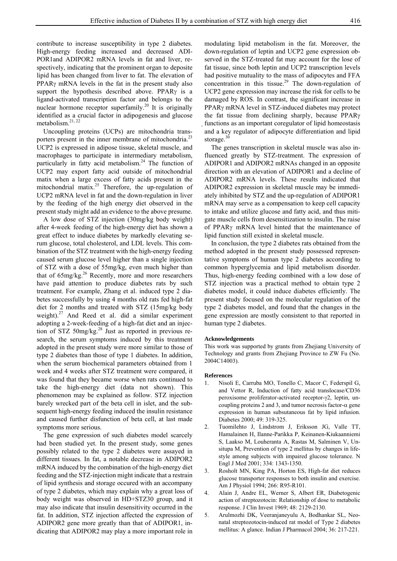contribute to increase susceptibility in type 2 diabetes. High-energy feeding increased and decreased ADI-POR1and ADIPOR2 mRNA levels in fat and liver, respectively, indicating that the prominent organ to deposite lipid has been changed from liver to fat. The elevation of PPARγ mRNA levels in the fat in the present study also support the hypothesis described above. PPARγ is a ligand-activated transcription factor and belongs to the nuclear hormone receptor superfamily.20 It is originally identified as a crucial factor in adipogenesis and glucose metabolism. $21, 22$ 

Uncoupling proteins (UCPs) are mitochondria transporters present in the inner membrane of mitochondria.<sup>23</sup> UCP2 is expressed in adipose tissue, skeletal muscle, and macrophages to participate in intermediary metabolism, particularly in fatty acid metabolism.<sup>24</sup> The function of UCP2 may export fatty acid outside of mitochondrial matix when a large excess of fatty acids present in the mitochondrial matix.<sup>25</sup> Therefore, the up-regulation of UCP2 mRNA level in fat and the down-regulation in liver by the feeding of the high energy diet observed in the present study might add an evidence to the above presume.

A low dose of STZ injection (30mg/kg body weight) after 4-week feeding of the high-energy diet has shown a great effect to induce diabetes by markedly elevating serum glucose, total cholesterol, and LDL levels. This combination of the STZ treatment with the high-energy feeding caused serum glucose level higher than a single injection of STZ with a dose of 55mg/kg, even much higher than that of  $65$ mg/kg.<sup>26</sup> Recently, more and more researchers have paid attention to produce diabetes rats by such treatment. For example, Zhang et al. induced type 2 diabetes successfully by using 4 months old rats fed high-fat diet for 2 months and treated with STZ (15mg/kg body weight). $27$  And Reed et al. did a similar experiment adopting a 2-week-feeding of a high-fat diet and an injection of STZ 50mg/kg. $^{28}$  Just as reported in previous research, the serum symptoms induced by this treatment adopted in the present study were more similar to those of type 2 diabetes than those of type 1 diabetes. In addition, when the serum biochemical parameters obtained from 1 week and 4 weeks after STZ treatment were compared, it was found that they became worse when rats continued to take the high-energy diet (data not shown). This phenomenon may be explained as follow. STZ injection barely wrecked part of the beta cell in islet, and the subsequent high-energy feeding induced the insulin resistance and caused further disfunction of beta cell, at last made symptoms more serious.

The gene expression of such diabetes model scarcely had been studied yet. In the present study, some genes possibly related to the type 2 diabetes were assayed in different tissues. In fat, a notable decrease in ADIPOR2 mRNA induced by the combination of the high-energy diet feeding and the STZ-injection might indicate that a restrain of lipid synthesis and storage occured with an accompany of type 2 diabetes, which may explain why a great loss of body weight was observed in HD+STZ30 group, and it may also indicate that insulin desensitivity occurred in the fat. In addition, STZ injection affected the expression of ADIPOR2 gene more greatly than that of ADIPOR1, indicating that ADIPOR2 may play a more important role in

modulating lipid metabolism in the fat. Moreover, the down-regulation of leptin and UCP2 gene expression observed in the STZ-treated fat may account for the lose of fat tissue, since both leptin and UCP2 transcription levels had positive mutuality to the mass of adipocytes and FFA concentration in this tissue.<sup>29</sup> The down-regulation of UCP2 gene expression may increase the risk for cells to be damaged by ROS. In contrast, the significant increase in PPARγ mRNA level in STZ-induced diabetes may protect the fat tissue from declining sharply, because PPARγ functions as an important coregulator of lipid homeostasis and a key regulator of adipocyte differentiation and lipid storage. $30$ 

The genes transcription in skeletal muscle was also influenced greatly by STZ-treatment. The expression of ADIPOR1 and ADIPOR2 mRNAs changed in an opposite direction with an elevation of ADIPOR1 and a decline of ADIPOR2 mRNA levels. These results indicated that ADIPOR2 expression in skeletal muscle may be immediately inhibited by STZ and the up-regulation of ADIPOR1 mRNA may serve as a compensation to keep cell capacity to intake and utilize glucose and fatty acid, and thus mitigate muscle cells from desensitization to insulin. The raise of PPARγ mRNA level hinted that the maintenance of lipid function still existed in skeletal muscle.

In conclusion, the type 2 diabetes rats obtained from the method adopted in the present study possessed representative symptoms of human type 2 diabetes according to common hyperglycemia and lipid metabolism disorder. Thus, high-energy feeding combined with a low dose of STZ injection was a practical method to obtain type 2 diabetes model, it could induce diabetes efficiently. The present study focused on the molecular regulation of the type 2 diabetes model, and found that the changes in the gene expression are mostly consistent to that reported in human type 2 diabetes.

#### **Acknowledgements**

This work was supported by grants from Zhejiang University of Technology and grants from Zhejiang Province to ZW Fu (No. 2004C14003).

#### **References**

- 1. Nisoli E, Carruba MO, Tonello C, Macor C, Federspil G, and Vettor R, Induction of fatty acid translocase/CD36 peroxisome proliferator-activated receptor-γ2, leptin, uncoupling proteins 2 and 3, and tumor necrosis factor- $\alpha$  gene expression in human subsutaneous fat by lipid infusion. Diabetes 2000; 49: 319-325.
- 2. Tuomilehto J, Lindstrom J, Eriksson JG, Valle TT, Hamalainen H, Ilanne-Parikka P, Keinanen-Kiukaanniemi S, Laakso M, Louheranta A, Rastas M, Salminen V, Unsitupa M, Prevention of type 2 mellitus by changes in lifestyle among subjects with impaired glucose tolerance. N Engl J Med 2001; 334: 1343-1350.
- 3. Rosholt MN, King PA, Horton ES, High-fat diet reduces glucose transporter responses to both insulin and exercise. Am J Physiol 1994; 266: R95-R101.
- 4. Alain J, Andre EL, Werner S, Albert ER, Diabetogenic action of streptozotocin: Relationship of dose to metabolic response. J Clin Invest 1969; 48: 2129-2130.
- 5. Arulmozhi DK, Veeranjaneyulu A, Bodhankar SL, Neonatal streptozotocin-induced rat model of Type 2 diabetes mellitus: A glance. Indian J Pharmacol 2004; 36: 217-221.